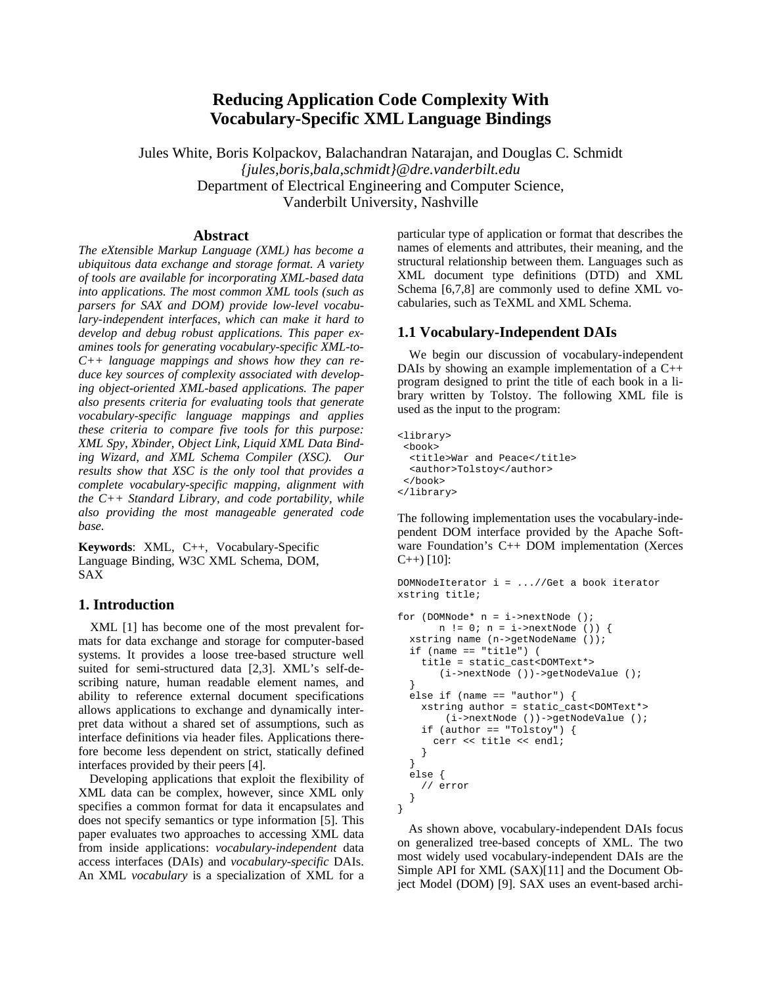# **Reducing Application Code Complexity With Vocabulary-Specific XML Language Bindings**

Jules White, Boris Kolpackov, Balachandran Natarajan, and Douglas C. Schmidt *{jules,boris,bala,schmidt}@dre.vanderbilt.edu*  Department of Electrical Engineering and Computer Science, Vanderbilt University, Nashville

#### **Abstract**

*The eXtensible Markup Language (XML) has become a ubiquitous data exchange and storage format. A variety of tools are available for incorporating XML-based data into applications. The most common XML tools (such as parsers for SAX and DOM) provide low-level vocabulary-independent interfaces, which can make it hard to develop and debug robust applications. This paper examines tools for generating vocabulary-specific XML-to-C++ language mappings and shows how they can reduce key sources of complexity associated with developing object-oriented XML-based applications. The paper also presents criteria for evaluating tools that generate vocabulary-specific language mappings and applies these criteria to compare five tools for this purpose: XML Spy, Xbinder, Object Link, Liquid XML Data Binding Wizard, and XML Schema Compiler (XSC). Our results show that XSC is the only tool that provides a complete vocabulary-specific mapping, alignment with the C++ Standard Library, and code portability, while also providing the most manageable generated code base.* 

**Keywords**: XML, C++, Vocabulary-Specific Language Binding, W3C XML Schema, DOM, SAX

### **1. Introduction**

XML [1] has become one of the most prevalent formats for data exchange and storage for computer-based systems. It provides a loose tree-based structure well suited for semi-structured data [2,3]. XML's self-describing nature, human readable element names, and ability to reference external document specifications allows applications to exchange and dynamically interpret data without a shared set of assumptions, such as interface definitions via header files. Applications therefore become less dependent on strict, statically defined interfaces provided by their peers [4].

Developing applications that exploit the flexibility of XML data can be complex, however, since XML only specifies a common format for data it encapsulates and does not specify semantics or type information [5]. This paper evaluates two approaches to accessing XML data from inside applications: *vocabulary-independent* data access interfaces (DAIs) and *vocabulary-specific* DAIs. An XML *vocabulary* is a specialization of XML for a

particular type of application or format that describes the names of elements and attributes, their meaning, and the structural relationship between them. Languages such as XML document type definitions (DTD) and XML Schema [6,7,8] are commonly used to define XML vocabularies, such as TeXML and XML Schema.

### **1.1 Vocabulary-Independent DAIs**

We begin our discussion of vocabulary-independent DAIs by showing an example implementation of a C++ program designed to print the title of each book in a library written by Tolstoy. The following XML file is used as the input to the program:

```
<library> 
  <book> 
   <title>War and Peace</title> 
   <author>Tolstoy</author> 
  </book> 
</library>
```
The following implementation uses the vocabulary-independent DOM interface provided by the Apache Software Foundation's C++ DOM implementation (Xerces  $C_{++}$ ) [10]:

```
DOMNodeIterator i = ...//Get a book iterator 
xstring title;
```

```
for (DOMNode* n = i->nextNode (); 
       n != 0; n = i->nextNode ()) { 
   xstring name (n->getNodeName ()); 
   if (name == "title") ( 
     title = static_cast<DOMText*> 
        (i->nextNode ())->getNodeValue (); 
 } 
  else if (name == "author") {
     xstring author = static_cast<DOMText*> 
         (i->nextNode ())->getNodeValue (); 
    if (author == "Tolstoy") {
       cerr << title << endl; 
     } 
   } 
   else { 
     // error 
   } 
}
```
As shown above, vocabulary-independent DAIs focus on generalized tree-based concepts of XML. The two most widely used vocabulary-independent DAIs are the Simple API for XML (SAX)[11] and the Document Object Model (DOM) [9]. SAX uses an event-based archi-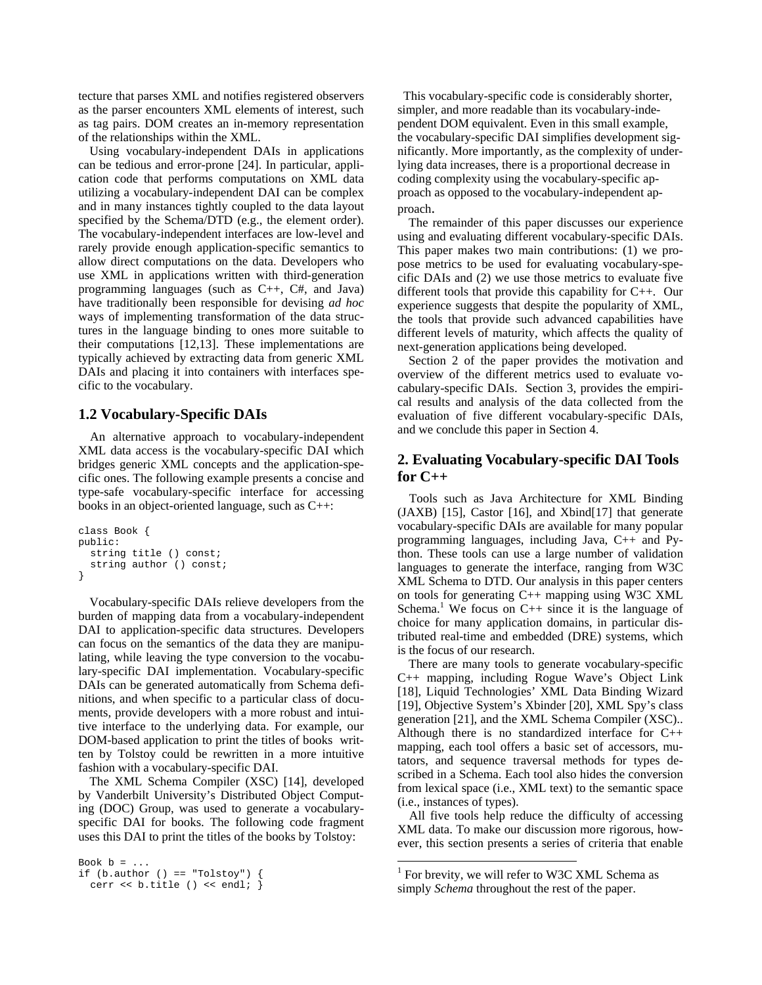tecture that parses XML and notifies registered observers as the parser encounters XML elements of interest, such as tag pairs. DOM creates an in-memory representation of the relationships within the XML.

Using vocabulary-independent DAIs in applications can be tedious and error-prone [24]. In particular, application code that performs computations on XML data utilizing a vocabulary-independent DAI can be complex and in many instances tightly coupled to the data layout specified by the Schema/DTD (e.g., the element order). The vocabulary-independent interfaces are low-level and rarely provide enough application-specific semantics to allow direct computations on the data. Developers who use XML in applications written with third-generation programming languages (such as C++, C#, and Java) have traditionally been responsible for devising *ad hoc* ways of implementing transformation of the data structures in the language binding to ones more suitable to their computations [12,13]. These implementations are typically achieved by extracting data from generic XML DAIs and placing it into containers with interfaces specific to the vocabulary.

### **1.2 Vocabulary-Specific DAIs**

An alternative approach to vocabulary-independent XML data access is the vocabulary-specific DAI which bridges generic XML concepts and the application-specific ones. The following example presents a concise and type-safe vocabulary-specific interface for accessing books in an object-oriented language, such as C++:

```
class Book { 
public: 
   string title () const; 
   string author () const; 
}
```
Vocabulary-specific DAIs relieve developers from the burden of mapping data from a vocabulary-independent DAI to application-specific data structures. Developers can focus on the semantics of the data they are manipulating, while leaving the type conversion to the vocabulary-specific DAI implementation. Vocabulary-specific DAIs can be generated automatically from Schema definitions, and when specific to a particular class of documents, provide developers with a more robust and intuitive interface to the underlying data. For example, our DOM-based application to print the titles of books written by Tolstoy could be rewritten in a more intuitive fashion with a vocabulary-specific DAI.

The XML Schema Compiler (XSC) [14], developed by Vanderbilt University's Distributed Object Computing (DOC) Group, was used to generate a vocabularyspecific DAI for books. The following code fragment uses this DAI to print the titles of the books by Tolstoy:

```
Book b = ...if (b.author () == "Tolstoy") {
 cerr << b.title () << endl; \}
```
This vocabulary-specific code is considerably shorter, simpler, and more readable than its vocabulary-independent DOM equivalent. Even in this small example, the vocabulary-specific DAI simplifies development significantly. More importantly, as the complexity of underlying data increases, there is a proportional decrease in coding complexity using the vocabulary-specific approach as opposed to the vocabulary-independent ap-

proach. The remainder of this paper discusses our experience using and evaluating different vocabulary-specific DAIs. This paper makes two main contributions: (1) we propose metrics to be used for evaluating vocabulary-specific DAIs and (2) we use those metrics to evaluate five different tools that provide this capability for C++. Our experience suggests that despite the popularity of XML, the tools that provide such advanced capabilities have different levels of maturity, which affects the quality of next-generation applications being developed.

Section 2 of the paper provides the motivation and overview of the different metrics used to evaluate vocabulary-specific DAIs. Section 3, provides the empirical results and analysis of the data collected from the evaluation of five different vocabulary-specific DAIs, and we conclude this paper in Section 4.

## **2. Evaluating Vocabulary-specific DAI Tools for C++**

Tools such as Java Architecture for XML Binding (JAXB) [15], Castor [16], and Xbind[17] that generate vocabulary-specific DAIs are available for many popular programming languages, including Java, C++ and Python. These tools can use a large number of validation languages to generate the interface, ranging from W3C XML Schema to DTD. Our analysis in this paper centers on tools for generating C++ mapping using W3C XML Schema.<sup>1</sup> We focus on  $C_{++}$  since it is the language of choice f[or](#page-1-0) many application domains, in particular distributed real-time and embedded (DRE) systems, which is the focus of our research.

There are many tools to generate vocabulary-specific C++ mapping, including Rogue Wave's Object Link [18], Liquid Technologies' XML Data Binding Wizard [19], Objective System's Xbinder [20], XML Spy's class generation [21], and the XML Schema Compiler (XSC).. Although there is no standardized interface for C++ mapping, each tool offers a basic set of accessors, mutators, and sequence traversal methods for types described in a Schema. Each tool also hides the conversion from lexical space (i.e., XML text) to the semantic space (i.e., instances of types).

All five tools help reduce the difficulty of accessing XML data. To make our discussion more rigorous, however, this section presents a series of criteria that enable

 $\overline{a}$ 

<span id="page-1-0"></span><sup>&</sup>lt;sup>1</sup> For brevity, we will refer to W3C XML Schema as simply *Schema* throughout the rest of the paper.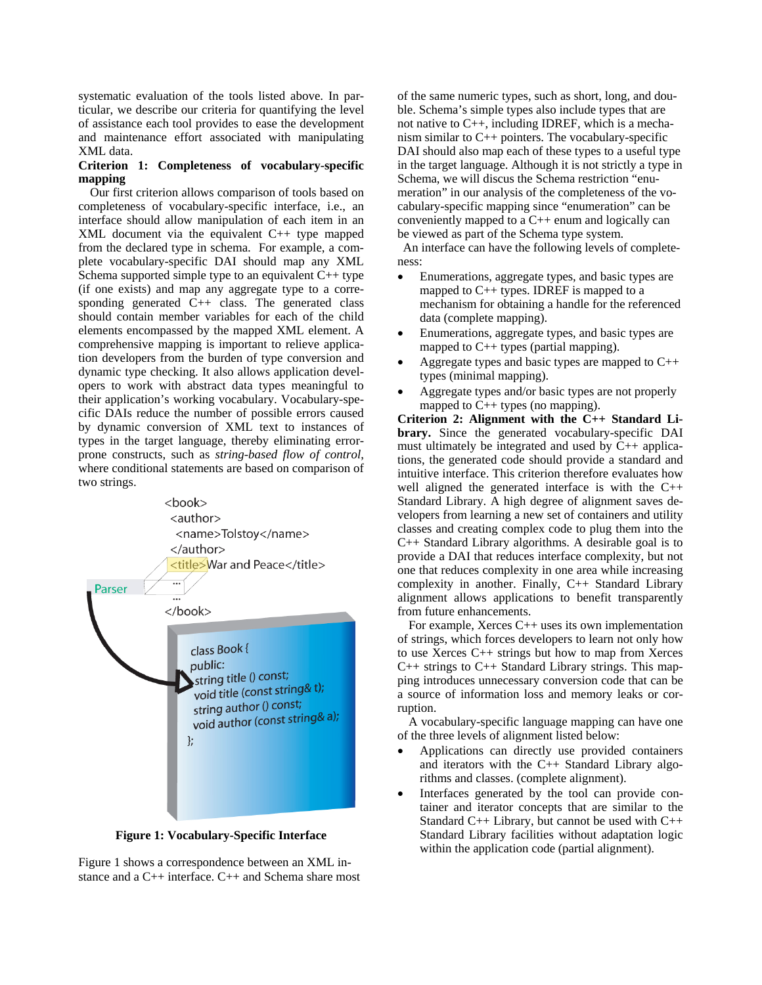systematic evaluation of the tools listed above. In particular, we describe our criteria for quantifying the level of assistance each tool provides to ease the development and maintenance effort associated with manipulating XML data.

#### **Criterion 1: Completeness of vocabulary-specific mapping**

Our first criterion allows comparison of tools based on completeness of vocabulary-specific interface, i.e., an interface should allow manipulation of each item in an XML document via the equivalent C++ type mapped from the declared type in schema. For example, a complete vocabulary-specific DAI should map any XML Schema supported simple type to an equivalent  $C_{++}$  type (if one exists) and map any aggregate type to a corresponding generated  $\overline{C}_{++}$  class. The generated class should contain member variables for each of the child elements encompassed by the mapped XML element. A comprehensive mapping is important to relieve application developers from the burden of type conversion and dynamic type checking. It also allows application developers to work with abstract data types meaningful to their application's working vocabulary. Vocabulary-specific DAIs reduce the number of possible errors caused by dynamic conversion of XML text to instances of types in the target language, thereby eliminating errorprone constructs, such as *string-based flow of control*, where conditional statements are based on comparison of two strings.



**Figure 1: Vocabulary-Specific Interface** 

Figure 1 shows a correspondence between an XML instance and a C++ interface. C++ and Schema share most

of the same numeric types, such as short, long, and double. Schema's simple types also include types that are not native to C++, including IDREF, which is a mechanism similar to C++ pointers. The vocabulary-specific DAI should also map each of these types to a useful type in the target language. Although it is not strictly a type in Schema, we will discus the Schema restriction "enumeration" in our analysis of the completeness of the vocabulary-specific mapping since "enumeration" can be conveniently mapped to a C++ enum and logically can be viewed as part of the Schema type system. An interface can have the following levels of complete-

ness:

- Enumerations, aggregate types, and basic types are mapped to C++ types. IDREF is mapped to a mechanism for obtaining a handle for the referenced data (complete mapping).
- Enumerations, aggregate types, and basic types are mapped to C++ types (partial mapping).
- Aggregate types and basic types are mapped to  $C_{++}$ types (minimal mapping).
- Aggregate types and/or basic types are not properly mapped to C++ types (no mapping).

**Criterion 2: Alignment with the C++ Standard Library.** Since the generated vocabulary-specific DAI must ultimately be integrated and used by C++ applications, the generated code should provide a standard and intuitive interface. This criterion therefore evaluates how well aligned the generated interface is with the C++ Standard Library. A high degree of alignment saves developers from learning a new set of containers and utility classes and creating complex code to plug them into the C++ Standard Library algorithms. A desirable goal is to provide a DAI that reduces interface complexity, but not one that reduces complexity in one area while increasing complexity in another. Finally, C++ Standard Library alignment allows applications to benefit transparently from future enhancements.

For example, Xerces  $C_{++}$  uses its own implementation of strings, which forces developers to learn not only how to use Xerces C++ strings but how to map from Xerces  $C_{++}$  strings to  $C_{++}$  Standard Library strings. This mapping introduces unnecessary conversion code that can be a source of information loss and memory leaks or corruption.

A vocabulary-specific language mapping can have one of the three levels of alignment listed below:

- Applications can directly use provided containers and iterators with the C++ Standard Library algorithms and classes. (complete alignment).
- Interfaces generated by the tool can provide container and iterator concepts that are similar to the Standard C++ Library, but cannot be used with C++ Standard Library facilities without adaptation logic within the application code (partial alignment).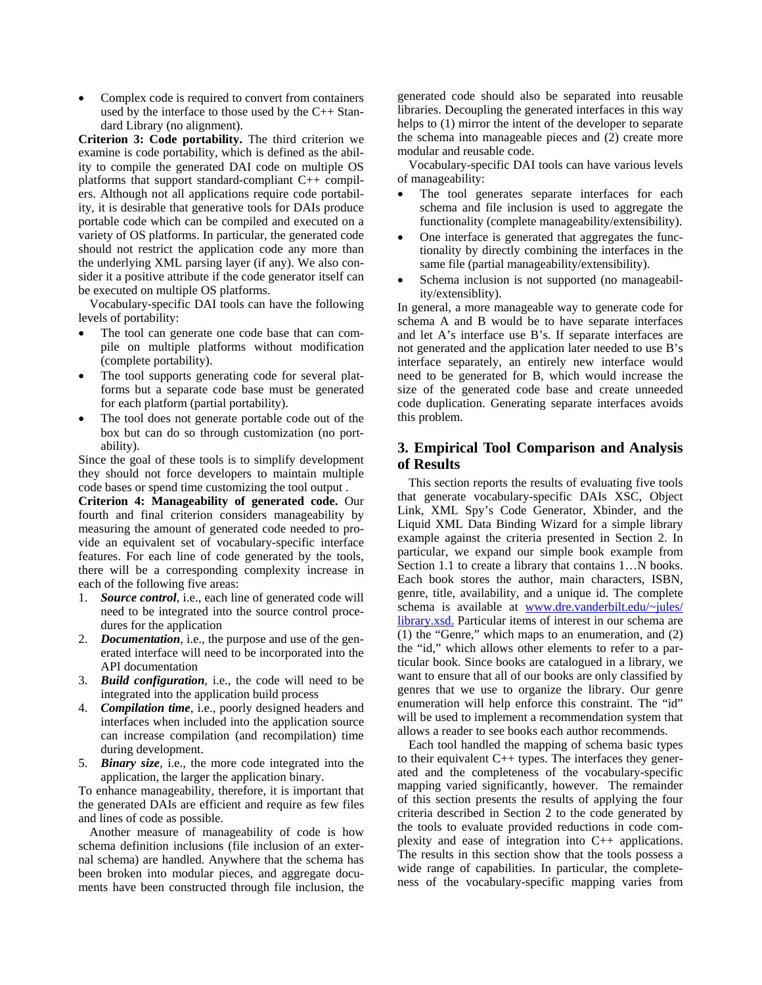Complex code is required to convert from containers used by the interface to those used by the C++ Standard Library (no alignment).

**Criterion 3: Code portability.** The third criterion we examine is code portability, which is defined as the ability to compile the generated DAI code on multiple OS platforms that support standard-compliant C++ compilers. Although not all applications require code portability, it is desirable that generative tools for DAIs produce portable code which can be compiled and executed on a variety of OS platforms. In particular, the generated code should not restrict the application code any more than the underlying XML parsing layer (if any). We also consider it a positive attribute if the code generator itself can be executed on multiple OS platforms.

Vocabulary-specific DAI tools can have the following levels of portability:

- The tool can generate one code base that can compile on multiple platforms without modification (complete portability).
- The tool supports generating code for several platforms but a separate code base must be generated for each platform (partial portability).
- The tool does not generate portable code out of the box but can do so through customization (no portability).

Since the goal of these tools is to simplify development they should not force developers to maintain multiple code bases or spend time customizing the tool output .

**Criterion 4: Manageability of generated code.** Our fourth and final criterion considers manageability by measuring the amount of generated code needed to provide an equivalent set of vocabulary-specific interface features. For each line of code generated by the tools, there will be a corresponding complexity increase in each of the following five areas:

- 1. *Source control*, i.e., each line of generated code will need to be integrated into the source control procedures for the application
- 2. *Documentation*, i.e., the purpose and use of the generated interface will need to be incorporated into the API documentation
- 3. *Build configuration*, i.e., the code will need to be integrated into the application build process
- 4. *Compilation time*, i.e., poorly designed headers and interfaces when included into the application source can increase compilation (and recompilation) time during development.
- 5. *Binary size*, i.e., the more code integrated into the application, the larger the application binary.

To enhance manageability, therefore, it is important that the generated DAIs are efficient and require as few files and lines of code as possible.

Another measure of manageability of code is how schema definition inclusions (file inclusion of an external schema) are handled. Anywhere that the schema has been broken into modular pieces, and aggregate documents have been constructed through file inclusion, the

generated code should also be separated into reusable libraries. Decoupling the generated interfaces in this way helps to (1) mirror the intent of the developer to separate the schema into manageable pieces and (2) create more modular and reusable code.

Vocabulary-specific DAI tools can have various levels of manageability:

- The tool generates separate interfaces for each schema and file inclusion is used to aggregate the functionality (complete manageability/extensibility).
- One interface is generated that aggregates the functionality by directly combining the interfaces in the same file (partial manageability/extensibility).
- Schema inclusion is not supported (no manageability/extensiblity).

In general, a more manageable way to generate code for schema A and B would be to have separate interfaces and let A's interface use B's. If separate interfaces are not generated and the application later needed to use B's interface separately, an entirely new interface would need to be generated for B, which would increase the size of the generated code base and create unneeded code duplication. Generating separate interfaces avoids this problem.

# **3. Empirical Tool Comparison and Analysis of Results**

This section reports the results of evaluating five tools that generate vocabulary-specific DAIs XSC, Object Link, XML Spy's Code Generator, Xbinder, and the Liquid XML Data Binding Wizard for a simple library example against the criteria presented in Section 2. In particular, we expand our simple book example from Section 1.1 to create a library that contains 1...N books. Each book stores the author, main characters, ISBN, genre, title, availability, and a unique id. The complete schema is available at [www.dre.vanderbilt.edu/~jules/](www.dre.vanderbilt.edu/~jules/ library.xsd.)  [library.xsd.](www.dre.vanderbilt.edu/~jules/ library.xsd.) Particular items of interest in our schema are (1) the "Genre," which maps to an enumeration, and (2) the "id," which allows other elements to refer to a particular book. Since books are catalogued in a library, we want to ensure that all of our books are only classified by genres that we use to organize the library. Our genre enumeration will help enforce this constraint. The "id" will be used to implement a recommendation system that allows a reader to see books each author recommends.

Each tool handled the mapping of schema basic types to their equivalent  $C++$  types. The interfaces they generated and the completeness of the vocabulary-specific mapping varied significantly, however. The remainder of this section presents the results of applying the four criteria described in Section 2 to the code generated by the tools to evaluate provided reductions in code complexity and ease of integration into C++ applications. The results in this section show that the tools possess a wide range of capabilities. In particular, the completeness of the vocabulary-specific mapping varies from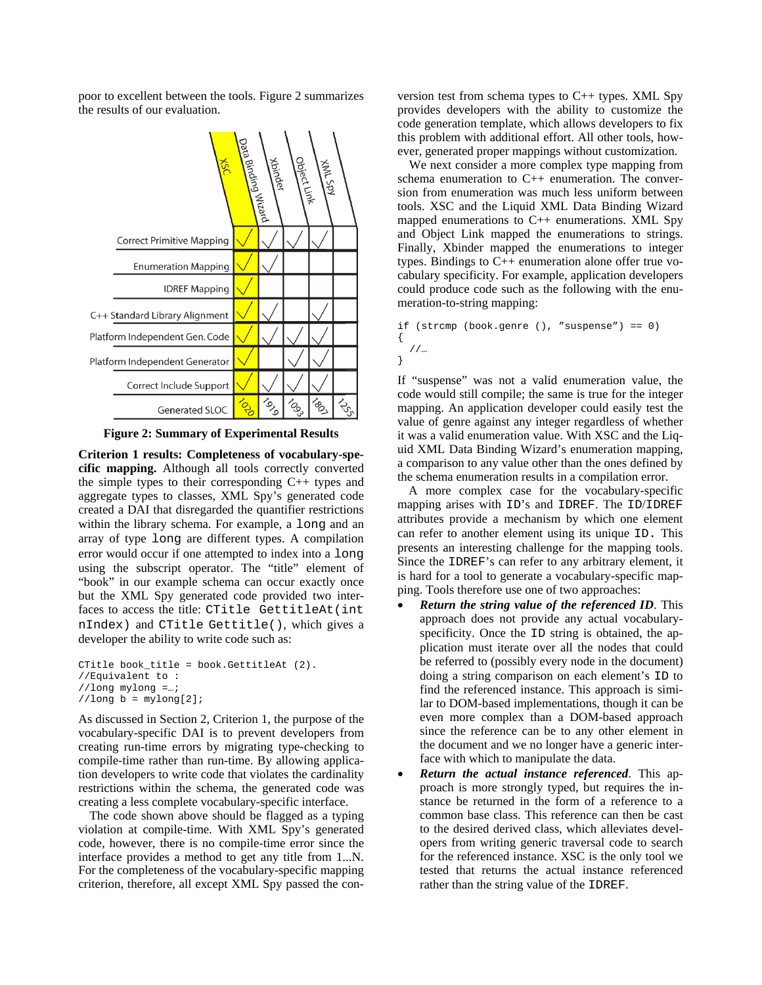poor to excellent between the tools. Figure 2 summarizes the results of our evaluation.



**Figure 2: Summary of Experimental Results** 

**Criterion 1 results: Completeness of vocabulary-specific mapping.** Although all tools correctly converted the simple types to their corresponding  $C_{++}$  types and aggregate types to classes, XML Spy's generated code created a DAI that disregarded the quantifier restrictions within the library schema. For example, a long and an array of type long are different types. A compilation error would occur if one attempted to index into a long using the subscript operator. The "title" element of "book" in our example schema can occur exactly once but the XML Spy generated code provided two interfaces to access the title: CTitle GettitleAt(int nIndex) and CTitle Gettitle(), which gives a developer the ability to write code such as:

```
CTitle book_title = book.GettitleAt (2). 
//Equivalent to : 
//long mylong =…; 
//long b = mylong[2];
```
As discussed in Section 2, Criterion 1, the purpose of the vocabulary-specific DAI is to prevent developers from creating run-time errors by migrating type-checking to compile-time rather than run-time. By allowing application developers to write code that violates the cardinality restrictions within the schema, the generated code was creating a less complete vocabulary-specific interface.

The code shown above should be flagged as a typing violation at compile-time. With XML Spy's generated code, however, there is no compile-time error since the interface provides a method to get any title from 1...N. For the completeness of the vocabulary-specific mapping criterion, therefore, all except XML Spy passed the con-

version test from schema types to C++ types. XML Spy provides developers with the ability to customize the code generation template, which allows developers to fix this problem with additional effort. All other tools, however, generated proper mappings without customization.

We next consider a more complex type mapping from schema enumeration to C++ enumeration. The conversion from enumeration was much less uniform between tools. XSC and the Liquid XML Data Binding Wizard mapped enumerations to C++ enumerations. XML Spy and Object Link mapped the enumerations to strings. Finally, Xbinder mapped the enumerations to integer types. Bindings to C++ enumeration alone offer true vocabulary specificity. For example, application developers could produce code such as the following with the enumeration-to-string mapping:

if (strcmp (book.genre (), "suspense") == 0) { //… }

If "suspense" was not a valid enumeration value, the code would still compile; the same is true for the integer mapping. An application developer could easily test the value of genre against any integer regardless of whether it was a valid enumeration value. With XSC and the Liquid XML Data Binding Wizard's enumeration mapping, a comparison to any value other than the ones defined by the schema enumeration results in a compilation error.

A more complex case for the vocabulary-specific mapping arises with ID's and IDREF. The ID/IDREF attributes provide a mechanism by which one element can refer to another element using its unique ID. This presents an interesting challenge for the mapping tools. Since the IDREF's can refer to any arbitrary element, it is hard for a tool to generate a vocabulary-specific mapping. Tools therefore use one of two approaches:

- *Return the string value of the referenced ID*. This approach does not provide any actual vocabularyspecificity. Once the ID string is obtained, the application must iterate over all the nodes that could be referred to (possibly every node in the document) doing a string comparison on each element's ID to find the referenced instance. This approach is similar to DOM-based implementations, though it can be even more complex than a DOM-based approach since the reference can be to any other element in the document and we no longer have a generic interface with which to manipulate the data.
- *Return the actual instance referenced*. This approach is more strongly typed, but requires the instance be returned in the form of a reference to a common base class. This reference can then be cast to the desired derived class, which alleviates developers from writing generic traversal code to search for the referenced instance. XSC is the only tool we tested that returns the actual instance referenced rather than the string value of the IDREF.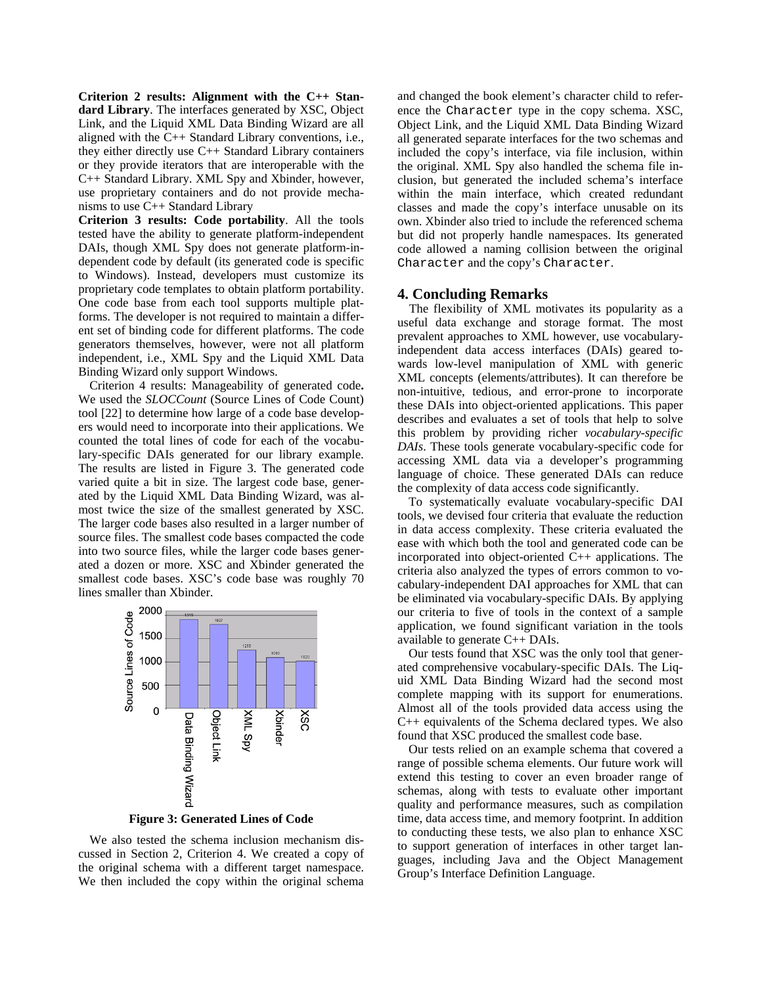**Criterion 2 results: Alignment with the C++ Standard Library**. The interfaces generated by XSC, Object Link, and the Liquid XML Data Binding Wizard are all aligned with the C++ Standard Library conventions, i.e., they either directly use C++ Standard Library containers or they provide iterators that are interoperable with the C++ Standard Library. XML Spy and Xbinder, however, use proprietary containers and do not provide mechanisms to use C++ Standard Library

**Criterion 3 results: Code portability**. All the tools tested have the ability to generate platform-independent DAIs, though XML Spy does not generate platform-independent code by default (its generated code is specific to Windows). Instead, developers must customize its proprietary code templates to obtain platform portability. One code base from each tool supports multiple platforms. The developer is not required to maintain a different set of binding code for different platforms. The code generators themselves, however, were not all platform independent, i.e., XML Spy and the Liquid XML Data Binding Wizard only support Windows.

Criterion 4 results: Manageability of generated code**.**  We used the *SLOCCount* (Source Lines of Code Count) tool [22] to determine how large of a code base developers would need to incorporate into their applications. We counted the total lines of code for each of the vocabulary-specific DAIs generated for our library example. The results are listed in Figure 3. The generated code varied quite a bit in size. The largest code base, generated by the Liquid XML Data Binding Wizard, was almost twice the size of the smallest generated by XSC. The larger code bases also resulted in a larger number of source files. The smallest code bases compacted the code into two source files, while the larger code bases generated a dozen or more. XSC and Xbinder generated the smallest code bases. XSC's code base was roughly 70 lines smaller than Xbinder.



**Figure 3: Generated Lines of Code** 

We also tested the schema inclusion mechanism discussed in Section 2, Criterion 4. We created a copy of the original schema with a different target namespace. We then included the copy within the original schema and changed the book element's character child to reference the Character type in the copy schema. XSC, Object Link, and the Liquid XML Data Binding Wizard all generated separate interfaces for the two schemas and included the copy's interface, via file inclusion, within the original. XML Spy also handled the schema file inclusion, but generated the included schema's interface within the main interface, which created redundant classes and made the copy's interface unusable on its own. Xbinder also tried to include the referenced schema but did not properly handle namespaces. Its generated code allowed a naming collision between the original Character and the copy's Character.

### **4. Concluding Remarks**

The flexibility of XML motivates its popularity as a useful data exchange and storage format. The most prevalent approaches to XML however, use vocabularyindependent data access interfaces (DAIs) geared towards low-level manipulation of XML with generic XML concepts (elements/attributes). It can therefore be non-intuitive, tedious, and error-prone to incorporate these DAIs into object-oriented applications. This paper describes and evaluates a set of tools that help to solve this problem by providing richer *vocabulary-specific DAIs*. These tools generate vocabulary-specific code for accessing XML data via a developer's programming language of choice. These generated DAIs can reduce the complexity of data access code significantly.

To systematically evaluate vocabulary-specific DAI tools, we devised four criteria that evaluate the reduction in data access complexity. These criteria evaluated the ease with which both the tool and generated code can be incorporated into object-oriented C++ applications. The criteria also analyzed the types of errors common to vocabulary-independent DAI approaches for XML that can be eliminated via vocabulary-specific DAIs. By applying our criteria to five of tools in the context of a sample application, we found significant variation in the tools available to generate C++ DAIs.

Our tests found that XSC was the only tool that generated comprehensive vocabulary-specific DAIs. The Liquid XML Data Binding Wizard had the second most complete mapping with its support for enumerations. Almost all of the tools provided data access using the C++ equivalents of the Schema declared types. We also found that XSC produced the smallest code base.

Our tests relied on an example schema that covered a range of possible schema elements. Our future work will extend this testing to cover an even broader range of schemas, along with tests to evaluate other important quality and performance measures, such as compilation time, data access time, and memory footprint. In addition to conducting these tests, we also plan to enhance XSC to support generation of interfaces in other target languages, including Java and the Object Management Group's Interface Definition Language.